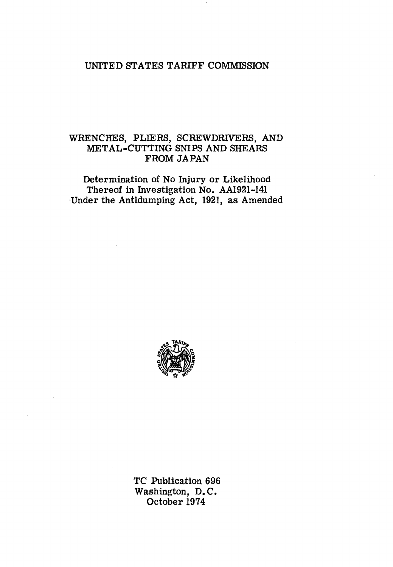# UNITED STATES TARIFF COMMISSION

# WRENCHES, PLIERS, SCREWDRIVERS, AND METAL-CUTTING SNIPS AND SHEARS FROM JAPAN

Determination of No Injury or Likelihood Thereof in Investigation No. AA1921-141 Under the Antidumping Act, 1921, as Amended



TC Publication 696 Washington, D. C. October 1974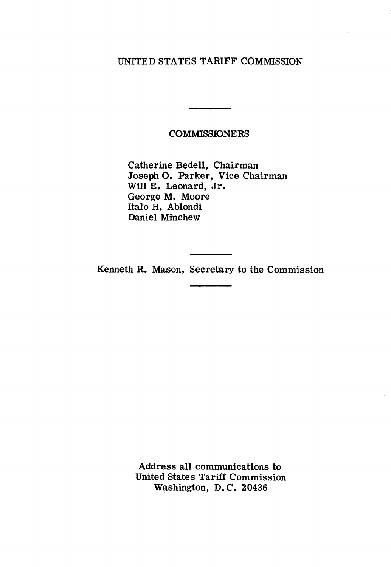# UNITED STATES TARIFF COMMISSION

# COMMISSIONERS

Catherine Bedell, Chairman Joseph 0. Parker, Vice Chairman Will E. Leonard, Jr. George M. Moore Italo H. Ablondi Daniel Minchew

Kenneth R. Mason, Secretary to the Commission

Address all communications to United states Tariff Commission Washington, D. C. 20436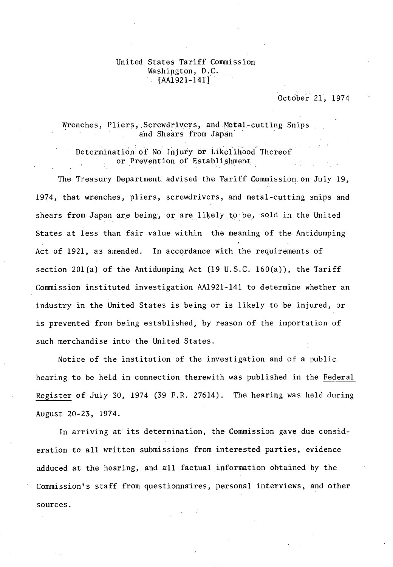#### United States Tariff Commission Washington, D.C. [AA1921-141]

### October 21, 1974

### Wrenches, Pliers, Screwdrivers, and Metal-cutting Snips and Shears from Japan'

Determination of No Injury or Likelihood Thereof or Prevention of Establishment.

The Treasury Department advised the Tariff Commissipn on July 19, 1974, that wrenches, pliers, screwdrivers, and metal-cutting snips and shears from Japan are being, or are likely to be, sold in the United States at less than fair value within the meaning of the Antidumping Act of 1921, as amended. In accordance with the requirements of section 20l(a) of the Antidumping Act (19 U.S.C. 160(a)), the Tariff Commission instituted investigation AA1921-141 to determine whether an industry in the United States is being or is likely to be injured, or is prevented from being established, by reason of the importation of such merchandise into the United States.

Notice of the institution of the investigation and of a public hearing to be held in connection therewith was published in the Federal Register of July 30, 1974 (39 F.R. 27614). The hearing was held during August 20-23, 1974.

In arriving at its determination, the Commission gave due consideration to all written submissions from interested parties, evidence adduced at the hearing, and all factual information obtained by the Commission's staff from questionnaires, personal interviews, and other sources.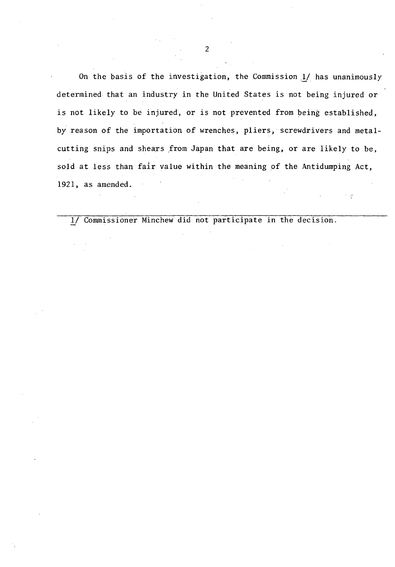On the basis of the investigation, the Commission 1/ has unanimously determined that an industry in the United States is not being injured or is not likely to be injured, or is not prevented from being established, by reason of the importation of wrenches, pliers, screwdrivers and metalcutting snips and shears from Japan that are being, or are likely to be, sold at less than fair value within the meaning of the Antidumping Act, 1921, as amended.

ķ.

!/ Commissioner Minchew did not participate in the decision.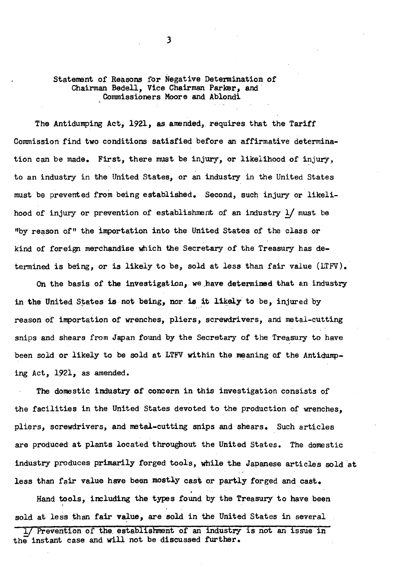Statement of Reasons for Negative Determination of Chairman Bedell, Vice Chairman Parker, and· Commissioners Moore and Ablondi

The Antidumping Act, 1921, as amended, requires that the Tariff Commission find two conditions satisfied before an affirmative determination can be made. First, there must be injury, or likelihood of injury, to an industry in the United States, or an industry in the United States must be prevented from being established. Second, such injury or likelihood of injury or prevention of establishment of an industry *!J* must be "by reason of" the importation into the United States of the class or kind of foreign merchandise which the Secretary of the Treasury has determined is being, or is likely to be, sold at less than fair value (LTFV).

On the basis of the investigation, we have determined that an industry in the United States is not being, nor is it likely to be, injured by reason *of* importation of wrenches, pliers, screwdrivers, and metal-cutting snips and shears from Japan found by the Secretary of the Treasury to have been sold or likely to be sold at LTFV within the meaning of the Antidumping Act, 1921, as amended.

The domestic industry of concern in this investigation consists of the facilities in the United States devoted to the production of wrenches, pliers, screwdrivers, and metal-cutting snips and shears. Such articles are produced at plants located throughout the United States. The domestic industry produces primarily forged tools, while the Japanese articles sold at less than fair value have been mostly cast or partly forged and cast.

Hand tools, including the types found by the Treasury to have been sold at less than fair value, are sold in the United States in several

Prevention of the establishment of an industry is not an issue in the instant case and will not be discussed further.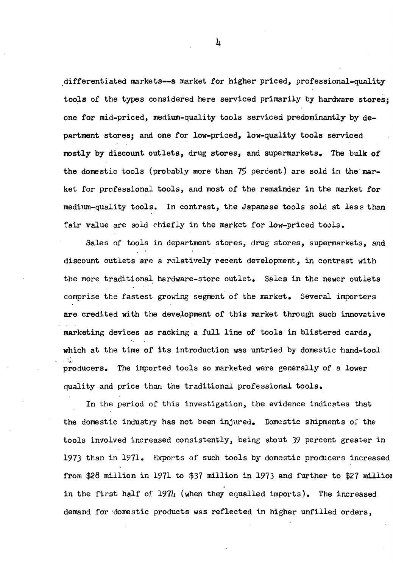differentiated markets--a market for higher priced, professional-quality tools of the types considered here serviced primarily by hardware stores; one for mid-priced, medium-quality tools serviced predominantly by department stores; and one for low-priced, low-quality tools serviced mostly by discount outlets, drug stores, and supermarkets. The bulk of the domestic tools (probably more than 75 percent) are sold in the market for professional tools, and most of the remainder in the market for medium-quality tools. In contrast, the Japanese tools sold at less than fair value are sold chiefly in the market for low-priced tools.

Sales of tools in department stores, drug stores, supermarkets, and discount outlets are a relatively recent development, in contrast with the more traditional hardware-store outlet. Sales in the newer outlets comprise the fastest growing segment of the market. Several importers are credited with the development of this market through such innovative marketing devices as racking a full line of tools in blistered cards, which at the time of its introduction was untried by domestic hand-tool .· ..... producers. The imported tools so marketed were generally of a lower quality and price than the traditional professional tools.

In the period of this investigation, the evidence indicates that the donestic industry has not been injured. Domestic shipments oi' the tools involved increased consistently, being about 39 percent greater in 1973 than in 1971. Exports of such tools by domestic producers increased from \$28 million in 1971 to \$37 million in 1973 and further to \$27 millior in the first half of  $197\mu$  (when they equalled imports). The increased demand for domestic products was reflected in higher unfilled orders,

 $\mathbf{h}$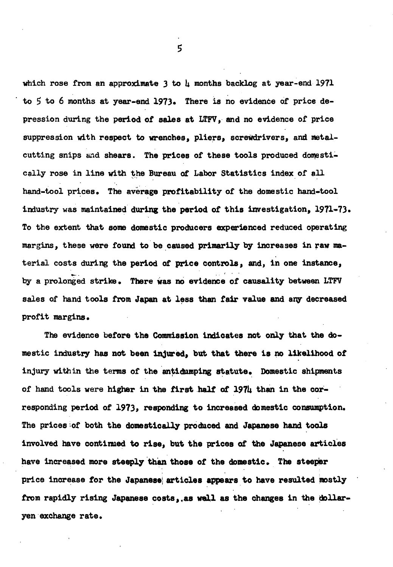which rose from an approximate 3 to  $\mu$  months backlog at year-end 1971 to  $5$  to 6 months at year-end 1973. There is no evidence of price depression during the period of sales at LTFV, and no evidence of price suppression with respect to wrenches, pliers, screwdrivers, and metalcutting snips and shears. The prices of these tools produced domestically rose in line with the Bureau of Labor Statistics index of all hand-tool prices. The average profitability of the domestic hand-tool industry was maintained during the period of this investigation,  $1971 - 73$ . To the extent that some domestic producers experienced reduced operating margins, these were found to be caused primarily by increases in raw material costs during the period or price controls, *and,* in one instance, by a prolonged strike. There was no evidence of causality between LTFV sales of hand tools from Japan at less than fair value and any decreased profit margins.

The evidence before the Commission indicates not only that the domestic industry has not been injured, but that there is no likelihood of injury with in the terms of the antidumping statute. Domestic shipments of hand tools were higher in the first half of 1974 than in the corresponding period of 1973, responding to increased domestic consumption. The prices of both the domestically produced and Japanese hand tools involved have continued to rise, but the prices of the Japanese articles have increased more steeply than those of the domestic. The steeper price increase for the Japanese articles appears to have resulted mostly from rapidly rising Japanese costs, as well as the changes in the dollaryen exchange rate.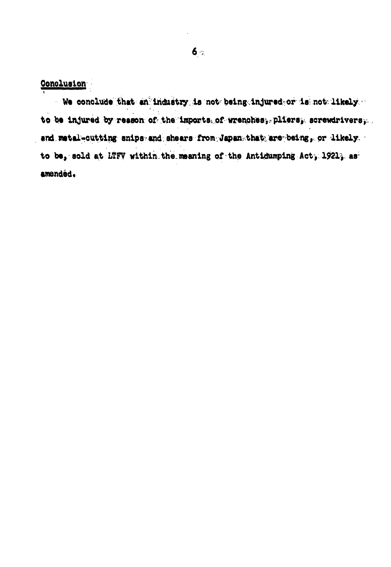Conclusion

· We conclude that an industry is not being injured or is not likely. to be injured by reason of the imports of wrenches, pliers, screwdrivers, and.wetal-outting snips and shears from Japan that are being, or likely. to be, sold at LTFV within the meaning of the Antidumping Act, 1921, as amended.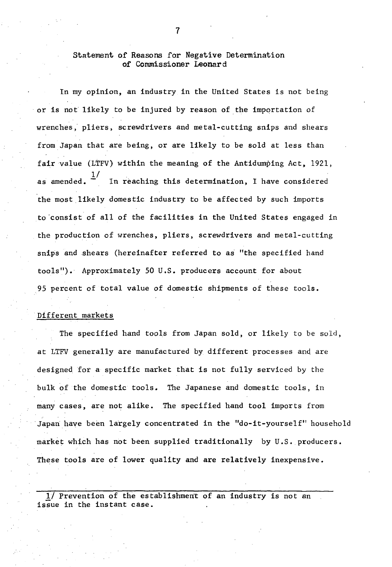### Statement of Reasons for Negative Determination of Commissioner Leonard

In my opinion, an industry in the United States is not being or is not likely to be injured by reason of the importation of wrenches; pliers, screwdrivers and metal-cutting snips and shears from Japan that are being, or are likely to be sold at less than fair value (LTFV) within the meaning of the Antidumping Act, 1921, as amended.  $\frac{1}{1}$ In reaching this determination, I have considered the most likely domestic industry to be affected by such imports to consist of all of the facilities in the United States engaged in the production of wrenches, pliers, screwdrivers and metal-cutting snips and shears (hereinafter referred to as "the specified hand tools"). Approximately 50 U.S. producers account for about 95 percent of total value of domestic shipments of these tools.

#### Different markets

The specified hand tools from Japan sold, or likely to be sold, at LTFV generally are manufactured by different processes and are designed for a specific market that is not fully serviced by the bulk of the domestic tools. The Japanese and domestic tools, in many cases, are not alike. The specified hand tool imports from Japan have been largely concentrated in the "do-it-yourself" household market which has not been supplied traditionally by U.S. producers. These tools are of lower quality and are relatively inexpensive.

1/ Prevention of the establishment of an industry is not an issue in the instant case.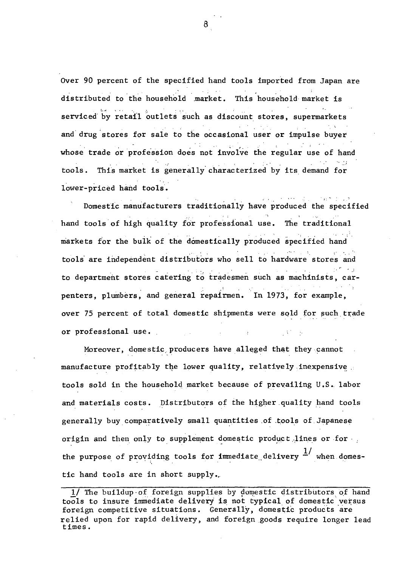Over 90 percent of the specified hand tools imported from Japan are distributed to the household market. This household market is serviced by retail outlets such as discount stores, supermarkets ·. '· and drug stores for sale to the occasional user or impulse buyer whose trade or profession does not involve the regular use of hand tools. This market is generally characterized by its demand for lower-priced hand tools.

Domestic manufacturers traditionally have produced the specified hand tools of high quality for professional use. The traditional markets for the bulk of the domestically produced specified hand tools are independent distributors who sell to hardware stores and g filosogi to department stores catering to tradesmen such as machinists, carpenters, plumbers, and general repairmen. In 1973, for example, over 75 percent of total domestic shipments were sold for such trade or professional use.  $\sim$  V  $\sim$   $\sim$   $\sim$ 

Moreover, domestic producers have alleged that they cannot manufacture profitably the lower quality, relatively inexpensive tools sold in the household market because of prevailing U.S. labor and materials costs. Distributors of the higher quality hand tools generally buy comparatively small quantities of tools of Japanese origin and then only to supplement domestic product lines or for  $\cdot$  . the purpose of providing tools for immediate delivery  $\frac{1}{x}$  when domestic hand tools are in short supply •.

<sup>1/</sup> The buildup of foreign supplies by domestic distributors of hand tools to insure immediate delivery is not typical of domestic versus foreign competitive situations. Generally, domestic products are relied upon for rapid delivery, and foreign goods require longer lead times.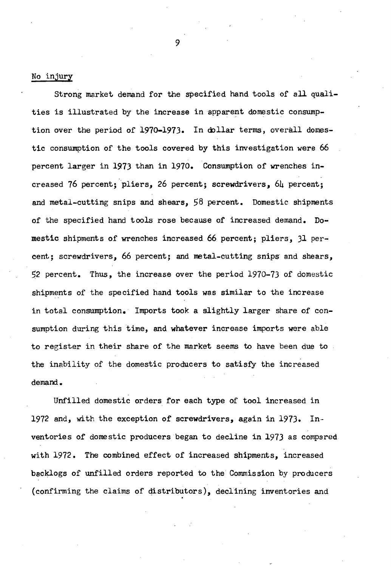#### No injury

Strong market demand for the specified hand tools of all qualities is illustrated by the increase in apparent domestic consumption over the period of 1970-1973. In dollar terms, overall domestic consumption of the tools covered by this investigation were <sup>66</sup> percent larger in 1973 than in 1970. Consumption of wrenches increased 76 percent;.pliers, 26 percent; screwdrivers, 64 percent; and metal-cutting snips and shears, 58 percent. Domestic shipments of the specified hand tools rose because of increased demand. Domestic shipments of wrenches increased 66 percent; pliers, 31 percent; screwdrivers, 66 percent; and metal-cutting snips and shears, 52 percent. Thus, the increase over the period 1970-73 of domestic shipments of the specified hand tools was similar to the increase in total consumption. Imports took a slightly larger share of consumption during this time, and whatever increase imports were able to register in their share of the market seems to have been due to the inability of the domestic producers to satisfy the increased demand.

Unfilled domestic orders for each type of tool increased in 1972 and, with the exception of screwdrivers, again in 1973. Inventories of domestic producers began to decline in 1973 as compared with 1972. The combined effect of increased shipments, increased backlogs of unfilled orders reported to the Commission by producers (confirming the claims of qistributors), declining inventories and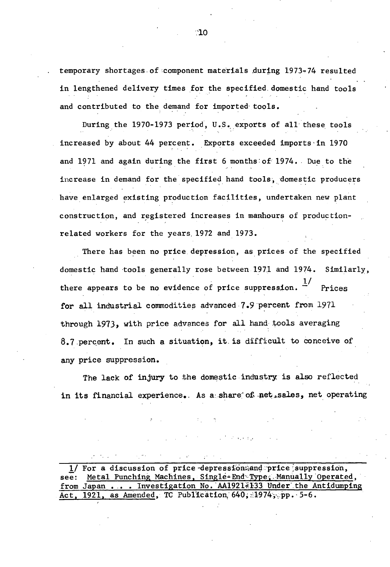temporary shortages of component materials during 1973-74 resulted in lengthened delivery times for the specified domestic hand tools and contributed to the demand for imported tools.

During the 1970-1973 period, U.S. exports of all these tools increased by about 44 percent. Exports exceeded imports in 1970 and 1971 and again during the first 6 months of 1974. Due to the increase in demand for the specified hand tools, domestic producers have enlarged existing production facilities, undertaken new plant construction, and registered increases in manhours of productionrelated workers for the years. 1972 and 1973.

There has been no price depression, as prices of the specified domestic hand tools generally rose between 1971 and 1974. Similarly,  $1/$ there appears to be no evidence of price suppression.  $\dot{f}$  Prices for all industrial commodities advanced 7.9·percent from 1971 through 1973, with price advances for all hand tools averaging 8.7 percent. In such a situation, it is difficult to conceive of any price suppression.

The lack of injury to the domestic industry is also reflected in its financial experience.. As a share of net sales, net operating

 $\frac{1}{1}$  For a discussion of price depression; and price suppression, see: Metal Punching Machines, Single-End Type, Manually Operate Metal Punching Machines, Single-End Type, Manually Operated, from Japan . . . Investigation No. AA19214133 Under the Antidumping Act,  $1921$ , as Amended, TC Publication,  $640$ ; 1974, pp. 5-6.

 $^{\circ}10$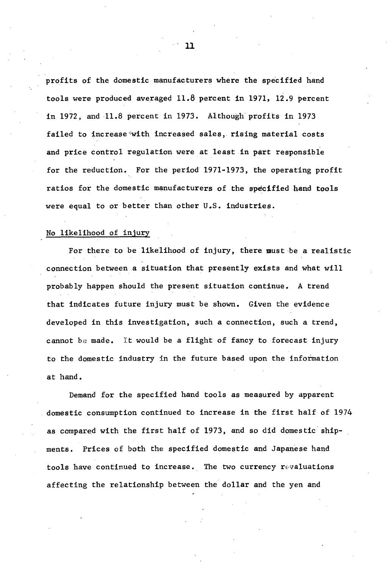profits of the domestic manufacturers where the specified hand tools were produced averaged 11.8 percent in 1971, 12 .9 percent in 1972, and 11.8 percent in 1973. Although profits in 1973 failed to increase·'with increased sales, rising material costs and price control regulation were at least in part responsible for the reduction. For the period 1971-1973, the operating profit ratios for the domestic manufacturers of the specified hand tools were equal to or better than other U.S. industries.

#### No likelihood of injury

For there *to* be likelihood of injury, there. must be a realistic connection between a situation that presently exists and what will probably happen should the present situation continue. A trend that indicates future injury must be shown. Given the evidence developed in this investigation, such a connection, such a trend, cannot be made. It would be a flight of fancy to forecast injury *to* the domestic industry in the future based upon the information at hand.

Demand for the specified hand tools as measured by apparent domestic consumption continued to increase in the first half of 1974 as compared with the first half of 1973, and so did domestic shipments. Prices of both the specified domestic and Japanese hand tools have continued to increase. The two currency revaluations affecting the relationship between the dollar and the yen and